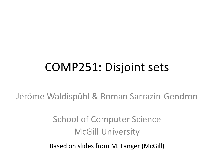# COMP251: Disjoint sets

Jérôme Waldispühl & Roman Sarrazin-Gendron

### School of Computer Science McGill University

Based on slides from M. Langer (McGill)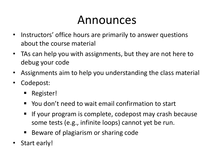## Announces

- Instructors' office hours are primarily to answer questions about the course material
- TAs can help you with assignments, but they are not here to debug your code
- Assignments aim to help you understanding the class material
- Codepost:
	- Register!
	- You don't need to wait email confirmation to start
	- If your program is complete, codepost may crash because some tests (e.g., infinite loops) cannot yet be run.
	- Beware of plagiarism or sharing code
- Start early!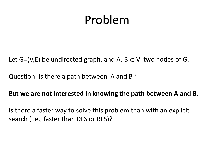## Problem

Let G=(V,E) be undirected graph, and A,  $B \in V$  two nodes of G.

Question: Is there a path between A and B?

#### But **we are not interested in knowing the path between A and B**.

Is there a faster way to solve this problem than with an explicit search (i.e., faster than DFS or BFS)?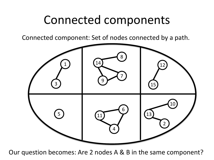## Connected components

Connected component: Set of nodes connected by a path.



Our question becomes: Are 2 nodes A & B in the same component?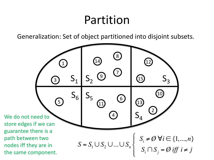## Partition

Generalization: Set of object partitioned into disjoint subsets.

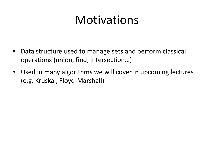# **Motivations**

- Data structure used to manage sets and perform classical operations (union, find, intersection…)
- Used in many algorithms we will cover in upcoming lectures (e.g. Kruskal, Floyd-Marshall)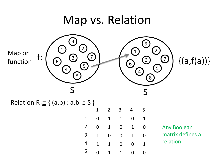

Relation R  $\subseteq$  { (a,b) : a,b  $\in$  S }

|  | $1 \quad 2 \quad 3$ | $\overline{4}$                                                                                                                               | 5 <sup>5</sup> |
|--|---------------------|----------------------------------------------------------------------------------------------------------------------------------------------|----------------|
|  |                     | $0\qquad 1$                                                                                                                                  |                |
|  |                     |                                                                                                                                              |                |
|  |                     |                                                                                                                                              |                |
|  |                     |                                                                                                                                              |                |
|  |                     | $\begin{array}{c cccc} 1 & 0 & 1 & 1 & 0 \\ 2 & 0 & 1 & 0 & 1 \\ 3 & 1 & 0 & 0 & 1 \\ 4 & 1 & 1 & 0 & 0 \\ 5 & 0 & 1 & 1 & 0 \\ \end{array}$ |                |

Any Boolean matrix defines a relation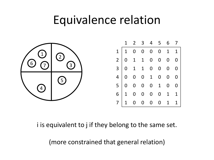### Equivalence relation



i is equivalent to j if they belong to the same set.

(more constrained that general relation)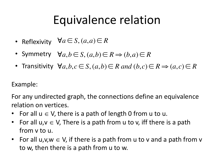# Equivalence relation

- Reflexivity  $\forall a \in S, (a, a) \in R$
- Symmetry  $\forall a, b \in S, (a, b) \in R \Rightarrow (b, a) \in R$
- Transitivity  $\forall a, b, c \in S, (a, b) \in R$  and  $(b, c) \in R \Rightarrow (a, c) \in R$

#### Example:

For any undirected graph, the connections define an equivalence relation on vertices.

- For all  $u \in V$ , there is a path of length 0 from u to u.
- For all  $u,v \in V$ , There is a path from u to v, iff there is a path from v to u.
- For all u,v,  $w \in V$ , if there is a path from u to v and a path from v to w, then there is a path from u to w.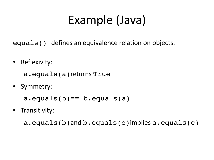# Example (Java)

equals() defines an equivalence relation on objects.

• Reflexivity:

a.equals(a)returns True

• Symmetry:

a.equals(b)== b.equals(a)

• Transitivity:

a.equals(b)and b.equals(c)implies a.equals(c)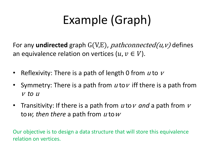# Example (Graph)

For any **undirected** graph G(V,E), *pathconnected(u,v)* defines an equivalence relation on vertices  $(u, v \in V)$ .

- Reflexivity: There is a path of length 0 from  *to*  $*v*$
- Symmetry: There is a path from  $u$  to  $v$  iff there is a path from <sup>v</sup> *to* <sup>u</sup>
- Transitivity: If there is a path from *u* to *v* and a path from *v* tow, then there a path from u tow

Our objective is to design a data structure that will store this equivalence relation on vertices.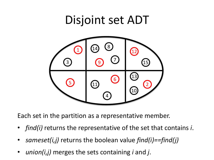## Disjoint set ADT



Each set in the partition as a representative member.

- *find(i)* returns the representative of the set that contains *i*.
- *sameset(i,j)* returns the boolean value *find(i)==find(j)*
- *union(i,j)* merges the sets containing *i* and *j*.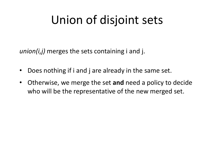# Union of disjoint sets

*union(i,j)* merges the sets containing i and j.

- Does nothing if i and j are already in the same set.
- Otherwise, we merge the set **and** need a policy to decide who will be the representative of the new merged set.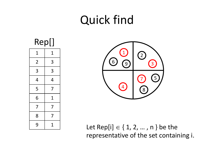# Quick find



| 1              | 1 |
|----------------|---|
| $\overline{2}$ | 3 |
| 3              | 3 |
| 4              | 4 |
| 5              | 7 |
| 6              | 1 |
| 7              | 7 |
| 8              | 7 |
| 9              | 1 |



Let Rep[i]  $\in$  { 1, 2, ..., n } be the representative of the set containing i.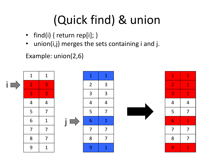# (Quick find) & union

- find(i) { return rep[i]; }
- union(i,j) merges the sets containing i and j.

Example: union(2,6)

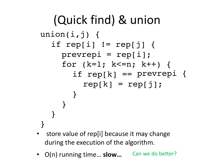```
(Quick find) & union
union(i,j) {
  if rep[i] != rep[j] \{prevrepi = rep[i];
    for (k=1; k<=n; k++) {
       if rep[k] == prevrepi {
         rep[k] = rep[j];}
    }
  }
}
```
- store value of rep[i] because it may change during the execution of the algorithm.
- O(n) running time... slow... Can we do better?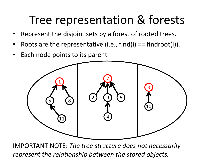## Tree representation & forests

- Represent the disjoint sets by a forest of rooted trees.
- Roots are the representative (i.e.,  $find(i) == findroot(i)$ ).
- Each node points to its parent.



IMPORTANT NOTE: *The tree structure does not necessarily represent the relationship between the stored objects.*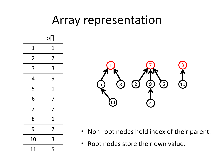## Array representation





- Non-root nodes hold index of their parent.
- Root nodes store their own value.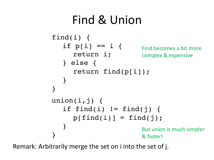# Find & Union

```
find(i) {
   if p[i] == i {
      return i;
   } else {
      return find(p[i]);
   }
}
union(i,j) {
   if find(i) != find(j) {
      p[find(i)] = find(j);}
} 
                          Find becomes a bit more 
                          complex & expensive
                          But union is much simpler 
                           & faster!
```
Remark: Arbitrarily merge the set on i into the set of j.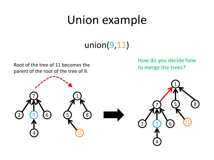## Union example

### union(9,11)

Root of the tree of 11 becomes the parent of the root of the tree of 9.

How do you decide how to merge the trees?

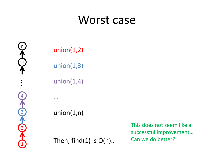### Worst case



union(1,2)

union(1,3)

union(1,4)

…

union(1,n)

Then, find(1) is O(n)…

This does not seem like a successful improvement… Can we do better?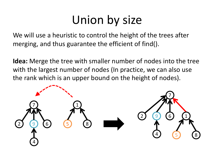We will use a heuristic to control the height of the trees after merging, and thus guarantee the efficient of find().

**Idea:** Merge the tree with smaller number of nodes into the tree with the largest number of nodes (In practice, we can also use the rank which is an upper bound on the height of nodes).

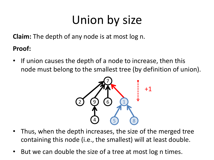**Claim:** The depth of any node is at most log n.

**Proof:**

• If union causes the depth of a node to increase, then this node must belong to the smallest tree (by definition of union).



- Thus, when the depth increases, the size of the merged tree containing this node (i.e., the smallest) will at least double.
- But we can double the size of a tree at most log n times.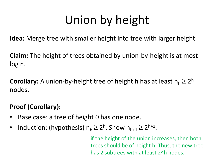# Union by height

**Idea:** Merge tree with smaller height into tree with larger height.

**Claim:** The height of trees obtained by union-by-height is at most log n.

**Corollary:** A union-by-height tree of height h has at least  $n_h \geq 2^h$ nodes.

### **Proof (Corollary):**

- Base case: a tree of height 0 has one node.
- Induction: (hypothesis)  $n_h \geq 2^h$ . Show  $n_{h+1} \geq 2^{h+1}$ .

if the height of the union increases, then both trees should be of height h. Thus, the new tree has 2 subtrees with at least 2^h nodes.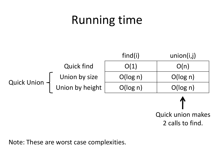# Running time



2 calls to find.

Note: These are worst case complexities.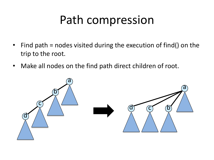# Path compression

- Find path = nodes visited during the execution of find() on the trip to the root.
- Make all nodes on the find path direct children of root.

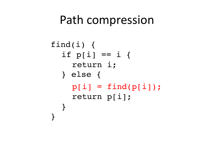### Path compression

```
find(i) {
  if p[i] == i {
    return i;
  } else {
    p[i] = find(p[i]);return p[i];
  }
}
```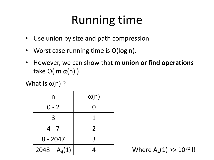# Running time

- Use union by size and path compression.
- Worst case running time is O(log n).
- However, we can show that **m union or find operations**  take O( m  $\alpha(n)$  ).

What is  $\alpha(n)$ ?

| n              | $\alpha(n)$    |  |  |
|----------------|----------------|--|--|
| $0 - 2$        | 0              |  |  |
| 3              |                |  |  |
| $4 - 7$        | $\overline{2}$ |  |  |
| $8 - 2047$     | 3              |  |  |
| $2048 - A4(1)$ |                |  |  |

Where  $A_4(1) >> 10^{80}$ !!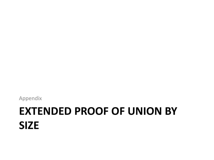# **EXTENDED PROOF OF UNION BY SIZE**

Appendix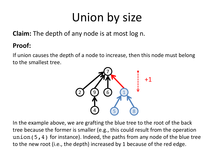**Claim:** The depth of any node is at most log n.

#### **Proof:**

If union causes the depth of a node to increase, then this node must belong to the smallest tree.



In the example above, we are grafting the blue tree to the root of the back tree because the former is smaller (e.g., this could result from the operation union(5,4) for instance). Indeed, the paths from any node of the blue tree to the new root (i.e., the depth) increased by 1 because of the red edge.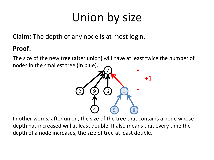**Claim:** The depth of any node is at most log n.

#### **Proof:**

The size of the new tree (after union) will have at least twice the number of nodes in the smallest tree (in blue).



In other words, after union, the size of the tree that contains a node whose depth has increased will at least double. It also means that every time the depth of a node increases, the size of tree at least double.